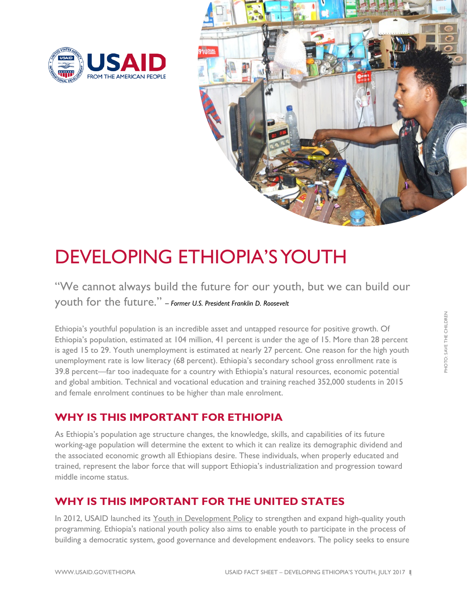



# DEVELOPING ETHIOPIA'S YOUTH

## "We cannot always build the future for our youth, but we can build our youth for the future." *– Former U.S. President Franklin D. Roosevelt*

Ethiopia's youthful population is an incredible asset and untapped resource for positive growth. Of Ethiopia's population, estimated at 104 million, 41 percent is under the age of 15. More than 28 percent is aged 15 to 29. Youth unemployment is estimated at nearly 27 percent. One reason for the high youth unemployment rate is low literacy (68 percent). Ethiopia's secondary school gross enrollment rate is 39.8 percent—far too inadequate for a country with Ethiopia's natural resources, economic potential and global ambition. Technical and vocational education and training reached 352,000 students in 2015 and female enrolment continues to be higher than male enrolment.

## **WHY IS THIS IMPORTANT FOR ETHIOPIA**

As Ethiopia's population age structure changes, the knowledge, skills, and capabilities of its future working-age population will determine the extent to which it can realize its demographic dividend and the associated economic growth all Ethiopians desire. These individuals, when properly educated and trained, represent the labor force that will support Ethiopia's industrialization and progression toward middle income status.

### **WHY IS THIS IMPORTANT FOR THE UNITED STATES**

In 2012, USAID launched its [Youth in Development Policy](https://www.usaid.gov/sites/default/files/documents/1870/Youth_in_Development_Policy_0.pdf) to strengthen and expand high-quality youth programming. Ethiopia's national youth policy also aims to enable youth to participate in the process of building a democratic system, good governance and development endeavors. The policy seeks to ensure